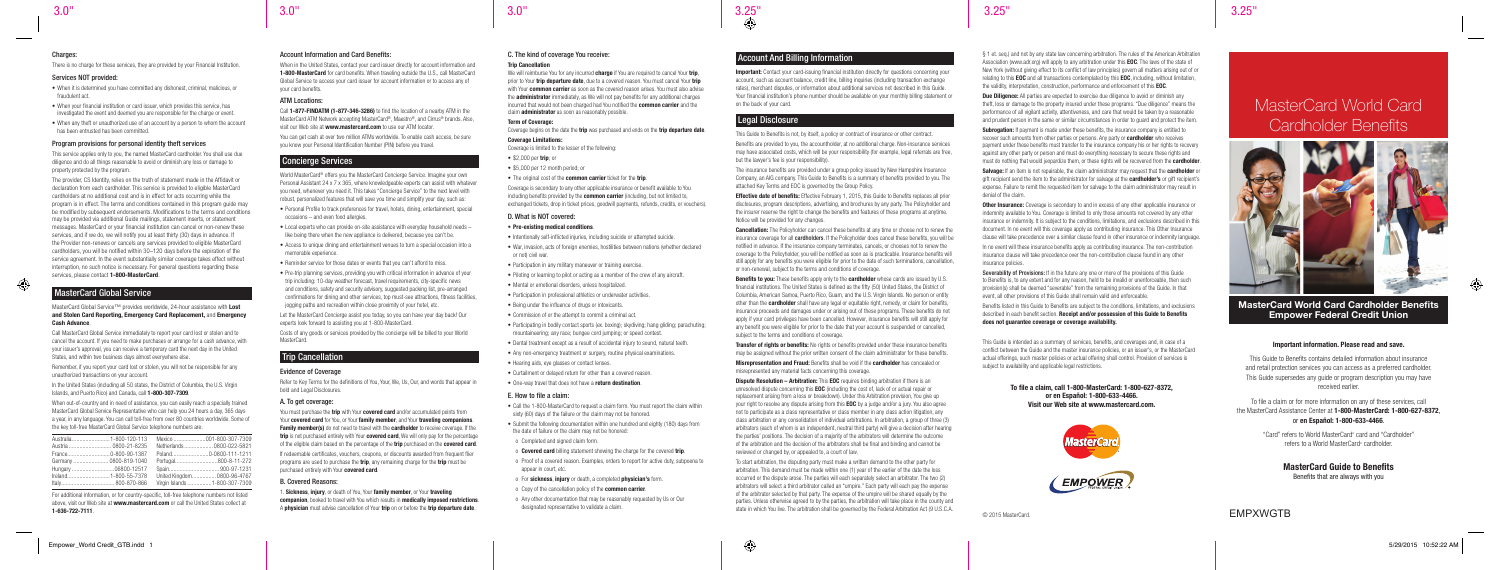#### Charges:

There is no charge for these services, they are provided by your Financial Institution.

# MasterCard World Card Cardholder Benefits



# EMPXWGTB

# MasterCard World Card Cardholder Benefits Empower Federal Credit Union

#### Important information. Please read and save.

This Guide to Benefits contains detailed information about insurance and retail protection services you can access as a preferred cardholder. This Guide supersedes any guide or program description you may have received earlier.

To file a claim or for more information on any of these services, call the MasterCard Assistance Center at 1-800-MasterCard: 1-800-627-8372, or en Español: 1-800-633-4466.

> "Card" refers to World MasterCard® card and "Cardholder" refers to a World MasterCard® cardholder.

# MasterCard Guide to Benefits

The provider, CS Identity, relies on the truth of statement made in the Affidavit or declaration from each cardholder. This service is provided to eligible MasterCard cardholders at no additional cost and is in effect for acts occurring while the program is in effect. The terms and conditions contained in this program guide may be modified by subsequent endorsements. Modifications to the terms and conditions may be provided via additional Guide mailings, statement inserts, or statement messages. MasterCard or your financial institution can cancel or non-renew these services, and if we do, we will notify you at least thirty (30) days in advance. If the Provider non-renews or cancels any services provided to eligible MasterCard cardholders, you will be notified within 30–120 days before the expiration of the service agreement. In the event substantially similar coverage takes effect without interruption, no such notice is necessary. For general questions regarding these services, please contact 1-800-MasterCard.

Benefits that are always with you

## Services NOT provided:

• When it is determined you have committed any dishonest, criminal, malicious, or fraudulent act.

- When your financial institution or card issuer, which provides this service, has investigated the event and deemed you are responsible for the charge or event.
- When any theft or unauthorized use of an account by a person to whom the account has been entrusted has been committed.

## Program provisions for personal identity theft services

MasterCard Global Service™ provides worldwide, 24-hour assistance with Lost and Stolen Card Reporting, Emergency Card Replacement, and Emergency Cash Advance.

This service applies only to you, the named MasterCard cardholder. You shall use due diligence and do all things reasonable to avoid or diminish any loss or damage to property protected by the program.

In the United States (including all 50 states, the District of Columbia, the U.S. Virgin Islands, and Puerto Rico) and Canada, call 1-800-307-7309.

When in the United States, contact your card issuer directly for account information and 1-800-MasterCard for card benefits. When traveling outside the U.S., call MasterCard Global Service to access your card issuer for account information or to access any of your card benefits.

# MasterCard Global Service

Call MasterCard Global Service immediately to report your card lost or stolen and to cancel the account. If you need to make purchases or arrange for a cash advance, with your issuer's approval, you can receive a temporary card the next day in the United States, and within two business days almost everywhere else.

Remember, if you report your card lost or stolen, you will not be responsible for any unauthorized transactions on your account.

When out-of-country and in need of assistance, you can easily reach a specially trained MasterCard Global Service Representative who can help you 24 hours a day, 365 days a year, in any language. You can call toll-free from over 80 countries worldwide. Some of the key toll-free MasterCard Global Service telephone numbers are:

| Germany  0800-819-1040 | Portugal800-8-11-272          |
|------------------------|-------------------------------|
|                        |                               |
|                        | United Kingdom 0800-96-4767   |
|                        | Virgin Islands 1-800-307-7309 |

We will reimburse You for any incurred **charge** if You are required to cancel Your trip prior to Your trip departure date, due to a covered reason. You must cancel Your trip with Your **common carrier** as soon as the covered reason arises. You must also advise the **administrator** immediately, as We will not pay benefits for any additional charges incurred that would not been charged had You notified the common carrier and the claim administrator as soon as reasonably possible.

For additional information, or for country-specific, toll-free telephone numbers not listed above, visit our Web site at www.mastercard.com or call the United States collect at 1-636-722-7111.

- Intentionally self-inflicted injuries, including suicide or attempted suicide.
- War, invasion, acts of foreign enemies, hostilities between nations (whether declared or not) civil war.
- Participation in any military maneuver or training exercise.
- Piloting or learning to pilot or acting as a member of the crew of any aircraft.
- Mental or emotional disorders, unless hospitalized.
- Participation in professional athletics or underwater activities.
- Being under the influence of drugs or intoxicants.
- Commission of or the attempt to commit a criminal act.
- Participating in bodily contact sports (ex. boxing); skydiving; hang gliding; parachuting; mountaineering; any race; bungee cord jumping; or speed contest.
- Dental treatment except as a result of accidental injury to sound, natural teeth.
- Any non-emergency treatment or surgery, routine physical examinations.
- Hearing aids, eye glasses or contact lenses.
- Curtailment or delayed return for other than a covered reason.
- One-way travel that does not have a return destination.

# Account Information and Card Benefits:

## ATM Locations:

Call 1-877-FINDATM (1-877-346-3286) to find the location of a nearby ATM in the MasterCard ATM Network accepting MasterCard®, Maestro®, and Cirrus® brands. Also, visit our Web site at www.mastercard.com to use our ATM locator.

You can get cash at over two million ATMs worldwide. To enable cash access, be sure you know your Personal Identification Number (PIN) before you travel.

# Concierge Services

World MasterCard® offers you the MasterCard Concierge Service. Imagine your own Personal Assistant 24 x 7 x 365, where knowledgeable experts can assist with whatever you need, whenever you need it. This takes "Concierge Service" to the next level with robust, personalized features that will save you time and simplify your day, such as:

Important: Contact your card-issuing financial institution directly for questions concerning your account, such as account balance, credit line, billing inquiries (including transaction exchange rates), merchant disputes, or information about additional services not described in this Guide. Your financial institution's phone number should be available on your monthly billing statement or on the back of your card.

# Legal Disclosure

- Personal Profile to track preferences for travel, hotels, dining, entertainment, special occasions – and even food allergies.
- Local experts who can provide on-site assistance with everyday household needs like being there when the new appliance is delivered, because you can't be.
- Access to unique dining and entertainment venues to turn a special occasion into a memorable experience.
- Reminder service for those dates or events that you can't afford to miss.
- Pre-trip planning services, providing you with critical information in advance of your trip including: 10-day weather forecast, travel requirements, city-specific news and conditions, safety and security advisory, suggested packing list, pre-arranged confirmations for dining and other services, top must-see attractions, fitness facilities, jogging paths and recreation within close proximity of your hotel, etc.

**Effective date of benefits:** Effective February 1, 2015, this Guide to Benefits replaces all prior disclosures, program descriptions, advertising, and brochures by any party. The Policyholder and the insurer reserve the right to change the benefits and features of these programs at anytime. Notice will be provided for any changes.

**Cancellation:** The Policyholder can cancel these benefits at any time or choose not to renew the insurance coverage for all **cardholders**. If the Policyholder does cancel these benefits, you will be notified in advance. If the insurance company terminates, cancels, or chooses not to renew the coverage to the Policyholder, you will be notified as soon as is practicable. Insurance benefits will still apply for any benefits you were eligible for prior to the date of such terminations, cancellation, or non-renewal, subject to the terms and conditions of coverage.

Let the MasterCard Concierge assist you today, so you can have your day back! Our experts look forward to assisting you at 1-800-MasterCard.

Costs of any goods or services provided by the concierge will be billed to your World MasterCard.

**Benefits to you:** These benefits apply only to the **cardholder** whose cards are issued by U.S. financial institutions. The United States is defined as the fifty (50) United States, the District of Columbia, American Samoa, Puerto Rico, Guam, and the U.S. Virgin Islands. No person or entity other than the **cardholder** shall have any legal or equitable right, remedy, or claim for benefits, insurance proceeds and damages under or arising out of these programs. These benefits do not apply if your card privileges have been cancelled. However, insurance benefits will still apply for any benefit you were eligible for prior to the date that your account is suspended or cancelled, subject to the terms and conditions of coverage.

# Trip Cancellation

# Evidence of Coverage

Refer to Key Terms for the definitions of You, Your, We, Us, Our, and words that appear in bold and Legal Disclosures.

Transfer of rights or benefits: No rights or benefits provided under these insurance benefits may be assigned without the prior written consent of the claim administrator for these benefits. Misrepresentation and Fraud: Benefits shall be void if the cardholder has concealed or

# A. To get coverage:

You must purchase the trip with Your covered card and/or accumulated points from Your covered card for You, or Your family member, and Your traveling companions. Family member(s) do not need to travel with the cardholder to receive coverage. If the trip is not purchased entirely with Your covered card, We will only pay for the percentage of the eligible claim based on the percentage of the trip purchased on the covered card.

If redeemable certificates, vouchers, coupons, or discounts awarded from frequent flier programs are used to purchase the **trip**, any remaining charge for the **trip** must be purchased entirely with Your covered card.

**Dispute Resolution – Arbitration:** This **EOC** requires binding arbitration if there is an unresolved dispute concerning this EOC (including the cost of, lack of or actual repair or replacement arising from a loss or breakdown). Under this Arbitration provision, You give up your right to resolve any dispute arising from this **EOC** by a judge and/or a jury. You also agree not to participate as a class representative or class member in any class action litigation, any class arbitration or any consolidation of individual arbitrations. In arbitration, a group of three (3) arbitrators (each of whom is an independent, neutral third party) will give a decision after hearing the parties' positions. The decision of a majority of the arbitrators will determine the outcome of the arbitration and the decision of the arbitrators shall be final and binding and cannot be reviewed or changed by, or appealed to, a court of law.

## B. Covered Reasons:

1. Sickness, injury, or death of You, Your family member, or Your traveling companion, booked to travel with You which results in medically imposed restrictions. A physician must advise cancellation of Your trip on or before the trip departure date.

# C. The kind of coverage You receive:

#### **Trin Cancellation**

## Term of Coverage:

Coverage begins on the date the **trip** was purchased and ends on the **trip departure date**.

## Coverage Limitations:

Salvage: If an item is not repairable, the claim administrator may request that the cardholder or gift recipient send the item to the administrator for salvage at the **cardholder's** or gift recipient's expense. Failure to remit the requested item for salvage to the claim administrator may result in denial of the claim.

Coverage is limited to the lesser of the following:

- \$2,000 per trip; or
- \$5,000 per 12 month period; or
- The original cost of the **common carrier** ticket for the **trip**

Coverage is secondary to any other applicable insurance or benefit available to You including benefits provided by the **common carrier** (including, but not limited to, exchanged tickets, drop in ticket prices, goodwill payments, refunds, credits, or vouchers).

**Other Insurance:** Coverage is secondary to and in excess of any other applicable insurance or indemnity available to You. Coverage is limited to only those amounts not covered by any other insurance or indemnity. It is subject to the conditions, limitations, and exclusions described in this document. In no event will this coverage apply as contributing insurance. This Other Insurance clause will take precedence over a similar clause found in other insurance or indemnity language. In no event will these insurance benefits apply as contributing insurance. The non-contribution insurance clause will take precedence over the non-contribution clause found in any other insurance policies.

# D. What is NOT covered:

## • Pre-existing medical conditions.

Severability of Provisions: If in the future any one or more of the provisions of this Guide to Benefits is, to any extent and for any reason, held to be invalid or unenforceable, then such provision(s) shall be deemed "severable" from the remaining provisions of the Guide. In that event, all other provisions of this Guide shall remain valid and enforceable.

This Guide is intended as a summary of services, benefits, and coverages and, in case of a conflict between the Guide and the master insurance policies, or an issuer's, or the MasterCard actual offerings, such master policies or actual offering shall control. Provision of services is subject to availability and applicable legal restrictions.

## E. How to file a claim:

- Call the 1-800-MasterCard to request a claim form. You must report the claim within sixty (60) days of the failure or the claim may not be honored.
- Submit the following documentation within one hundred and eighty (180) days from the date of failure or the claim may not be honored:
- o Completed and signed claim form.
- o **Covered card** billing statement showing the charge for the covered **trip**.
- o Proof of a covered reason. Examples, orders to report for active duty, subpoena to appear in court, etc.
- o For sickness, injury or death, a completed physician's form.
- o Copy of the cancellation policy of the **common carrier**.
- o Any other documentation that may be reasonably requested by Us or Our designated representative to validate a claim.

# Account And Billing Information

This Guide to Benefits is not, by itself, a policy or contract of insurance or other contract.

Benefits are provided to you, the accountholder, at no additional charge. Non-insurance services may have associated costs, which will be your responsibility (for example, legal referrals are free, but the lawyer's fee is your responsibility).

The insurance benefits are provided under a group policy issued by New Hampshire Insurance Company, an AIG company. This Guide to Benefits is a summary of benefits provided to you. The attached Key Terms and EOC is governed by the Group Policy.

misrepresented any material facts concerning this coverage.

To start arbitration, the disputing party must make a written demand to the other party for arbitration. This demand must be made within one (1) year of the earlier of the date the loss occurred or the dispute arose. The parties will each separately select an arbitrator. The two (2) arbitrators will select a third arbitrator called an "umpire." Each party will each pay the expense of the arbitrator selected by that party. The expense of the umpire will be shared equally by the parties. Unless otherwise agreed to by the parties, the arbitration will take place in the county and state in which You live. The arbitration shall be governed by the Federal Arbitration Act (9 U.S.C.A.

§ 1 et. seq.) and not by any state law concerning arbitration. The rules of the American Arbitration Association (www.adr.org) will apply to any arbitration under this **EOC**. The laws of the state of New York (without giving effect to its conflict of law principles) govern all matters arising out of or relating to this EOC and all transactions contemplated by this EOC, including, without limitation, the validity, interpretation, construction, performance and enforcement of this EOC.

**Due Diligence:** All parties are expected to exercise due diligence to avoid or diminish any theft, loss or damage to the property insured under these programs. "Due diligence" means the performance of all vigilant activity, attentiveness, and care that would be taken by a reasonable and prudent person in the same or similar circumstances in order to quard and protect the item.

Subrogation: If payment is made under these benefits, the insurance company is entitled to recover such amounts from other parties or persons. Any party or **cardholder** who receives payment under these benefits must transfer to the insurance company his or her rights to recovery against any other party or person and must do everything necessary to secure these rights and must do nothing that would jeopardize them, or these rights will be recovered from the **cardholder**.

Benefits listed in this Guide to Benefits are subject to the conditions, limitations, and exclusions described in each benefit section. Receipt and/or possession of this Guide to Benefits does not guarantee coverage or coverage availability.

> To file a claim, call 1-800-MasterCard: 1-800-627-8372, or en Español: 1-800-633-4466. Visit our Web site at www.mastercard.com.